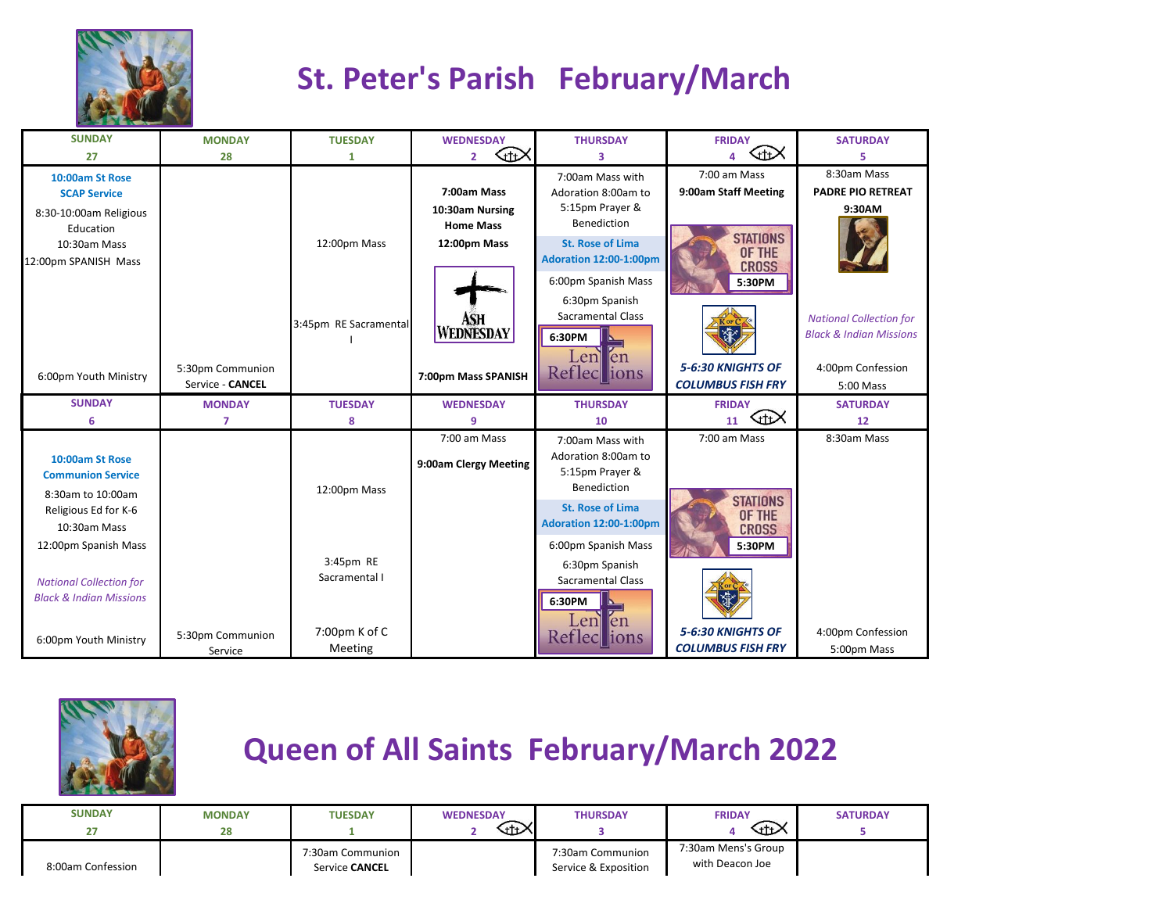

## **St. Peter's Parish February/March**

| <b>SUNDAY</b>                      | <b>MONDAY</b>    | <b>TUESDAY</b>        | <b>WEDNESDAY</b>      | <b>THURSDAY</b>                                    | <b>FRIDAY</b>             | <b>SATURDAY</b>                    |
|------------------------------------|------------------|-----------------------|-----------------------|----------------------------------------------------|---------------------------|------------------------------------|
| 27                                 | 28               | 1                     | 的<br>$\overline{2}$   | з                                                  | ℆<br>$\mathbf{A}$         | 5                                  |
| 10:00am St Rose                    |                  |                       |                       | 7:00am Mass with                                   | 7:00 am Mass              | 8:30am Mass                        |
| <b>SCAP Service</b>                |                  |                       | 7:00am Mass           | Adoration 8:00am to                                | 9:00am Staff Meeting      | <b>PADRE PIO RETREAT</b>           |
| 8:30-10:00am Religious             |                  |                       | 10:30am Nursing       | 5:15pm Prayer &                                    |                           | 9:30AM                             |
| Education                          |                  |                       | <b>Home Mass</b>      | <b>Benediction</b>                                 |                           |                                    |
| 10:30am Mass                       |                  | 12:00pm Mass          | 12:00pm Mass          | <b>St. Rose of Lima</b>                            | <b>STATIONS</b><br>OF THE |                                    |
| 12:00pm SPANISH Mass               |                  |                       |                       | Adoration 12:00-1:00pm                             | <b>CROSS</b>              |                                    |
|                                    |                  |                       |                       | 6:00pm Spanish Mass                                | 5:30PM                    |                                    |
|                                    |                  |                       |                       | 6:30pm Spanish                                     |                           |                                    |
|                                    |                  | 3:45pm RE Sacramental | ASH                   | <b>Sacramental Class</b>                           |                           | <b>National Collection for</b>     |
|                                    |                  |                       | <b>WEDNESDAY</b>      | 6:30PM                                             | XP                        | <b>Black &amp; Indian Missions</b> |
|                                    |                  |                       |                       | Len en                                             |                           |                                    |
| 6:00pm Youth Ministry              | 5:30pm Communion |                       | 7:00pm Mass SPANISH   | Reflections                                        | 5-6:30 KNIGHTS OF         | 4:00pm Confession                  |
|                                    | Service - CANCEL |                       |                       |                                                    | <b>COLUMBUS FISH FRY</b>  | 5:00 Mass                          |
|                                    |                  |                       |                       |                                                    |                           |                                    |
| <b>SUNDAY</b>                      | <b>MONDAY</b>    | <b>TUESDAY</b>        | <b>WEDNESDAY</b>      | <b>THURSDAY</b>                                    | <b>FRIDAY</b>             | <b>SATURDAY</b>                    |
| 6                                  | $\overline{7}$   | 8                     | 9                     | 10                                                 | <b></b><br>11             | 12                                 |
|                                    |                  |                       | 7:00 am Mass          | 7:00am Mass with                                   | 7:00 am Mass              | 8:30am Mass                        |
| 10:00am St Rose                    |                  |                       |                       | Adoration 8:00am to                                |                           |                                    |
| <b>Communion Service</b>           |                  |                       | 9:00am Clergy Meeting | 5:15pm Prayer &                                    |                           |                                    |
| 8:30am to 10:00am                  |                  | 12:00pm Mass          |                       | <b>Benediction</b>                                 |                           |                                    |
| Religious Ed for K-6               |                  |                       |                       | <b>St. Rose of Lima</b>                            | <b>STATIONS</b><br>OF THE |                                    |
| 10:30am Mass                       |                  |                       |                       | Adoration 12:00-1:00pm                             | <b>CROSS</b>              |                                    |
| 12:00pm Spanish Mass               |                  |                       |                       | 6:00pm Spanish Mass                                | 5:30PM                    |                                    |
|                                    |                  | 3:45pm RE             |                       | 6:30pm Spanish                                     |                           |                                    |
| <b>National Collection for</b>     |                  | Sacramental I         |                       | <b>Sacramental Class</b>                           |                           |                                    |
| <b>Black &amp; Indian Missions</b> |                  |                       |                       | 6:30PM                                             | <b>Silve</b>              |                                    |
|                                    |                  |                       |                       |                                                    |                           |                                    |
| 6:00pm Youth Ministry              | 5:30pm Communion | 7:00pm K of C         |                       | Len<br>len<br>$\operatorname{\sf Reflec}$<br>lions | 5-6:30 KNIGHTS OF         | 4:00pm Confession                  |



## **Queen of All Saints February/March 2022**

| <b>SUNDAY</b><br>דר | <b>MONDAY</b><br>28 | <b>TUESDAY</b>                     | <b>WEDNESDAY</b><br>₩ | <b>THURSDAY</b>                          | <b>FRIDAY</b><br>⊕≻                    | <b>SATURDAY</b> |
|---------------------|---------------------|------------------------------------|-----------------------|------------------------------------------|----------------------------------------|-----------------|
| 8:00am Confession   |                     | 7:30am Communion<br>Service CANCEL |                       | 7:30am Communion<br>Service & Exposition | 7:30am Mens's Group<br>with Deacon Joe |                 |